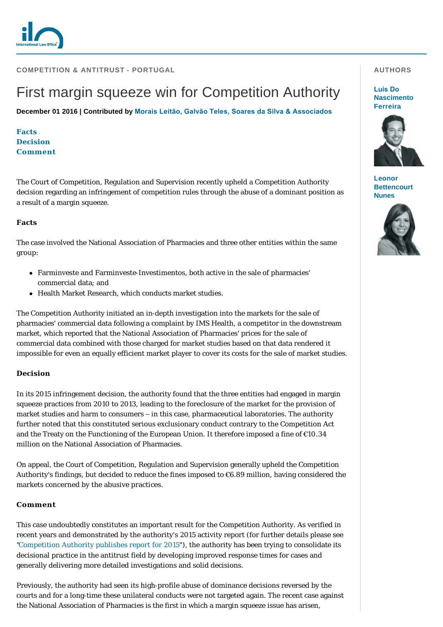**COMPETITION & ANTITRUST - PORTUGAL** 

# First margin squeeze win for Competition Authority

**December 01 2016 | Contributed by [Morais Leitão, Galvão Teles, Soares da Silva & Associados](http://www.internationallawoffice.com/gesr.ashx?l=7T4MVBQ)**

**[Facts](#page-0-0) [Decision](#page-0-1) [Comment](#page-0-2)**

The Court of Competition, Regulation and Supervision recently upheld a Competition Authority decision regarding an infringement of competition rules through the abuse of a dominant position as a result of a margin squeeze.

## <span id="page-0-0"></span>**Facts**

The case involved the National Association of Pharmacies and three other entities within the same group:

- <sup>l</sup> Farminveste and Farminveste-Investimentos, both active in the sale of pharmacies' commercial data; and
- Health Market Research, which conducts market studies.

The Competition Authority initiated an in-depth investigation into the markets for the sale of pharmacies' commercial data following a complaint by IMS Health, a competitor in the downstream market, which reported that the National Association of Pharmacies' prices for the sale of commercial data combined with those charged for market studies based on that data rendered it impossible for even an equally efficient market player to cover its costs for the sale of market studies.

## <span id="page-0-1"></span>**Decision**

In its 2015 infringement decision, the authority found that the three entities had engaged in margin squeeze practices from 2010 to 2013, leading to the foreclosure of the market for the provision of market studies and harm to consumers – in this case, pharmaceutical laboratories. The authority further noted that this constituted serious exclusionary conduct contrary to the Competition Act and the Treaty on the Functioning of the European Union. It therefore imposed a fine of €10.34 million on the National Association of Pharmacies.

On appeal, the Court of Competition, Regulation and Supervision generally upheld the Competition Authority's findings, but decided to reduce the fines imposed to €6.89 million, having considered the markets concerned by the abusive practices.

## <span id="page-0-2"></span>**Comment**

This case undoubtedly constitutes an important result for the Competition Authority. As verified in recent years and demonstrated by the authority's 2015 activity report (for further details please see ["Competition Authority publishes report for 2015"](http://www.internationallawoffice.com/gesr.ashx?l=7T4MVBT)), the authority has been trying to consolidate its decisional practice in the antitrust field by developing improved response times for cases and generally delivering more detailed investigations and solid decisions.

Previously, the authority had seen its high-profile abuse of dominance decisions reversed by the courts and for a long-time these unilateral conducts were not targeted again. The recent case against the National Association of Pharmacies is the first in which a margin squeeze issue has arisen,

### **AUTHORS**

**Luís Do [Nascimento](http://www.internationallawoffice.com/gesr.ashx?l=7T4MVBZ)  Ferreira**



**Leonor [Bettencourt](http://www.internationallawoffice.com/gesr.ashx?l=7T4MVCL)  Nunes**